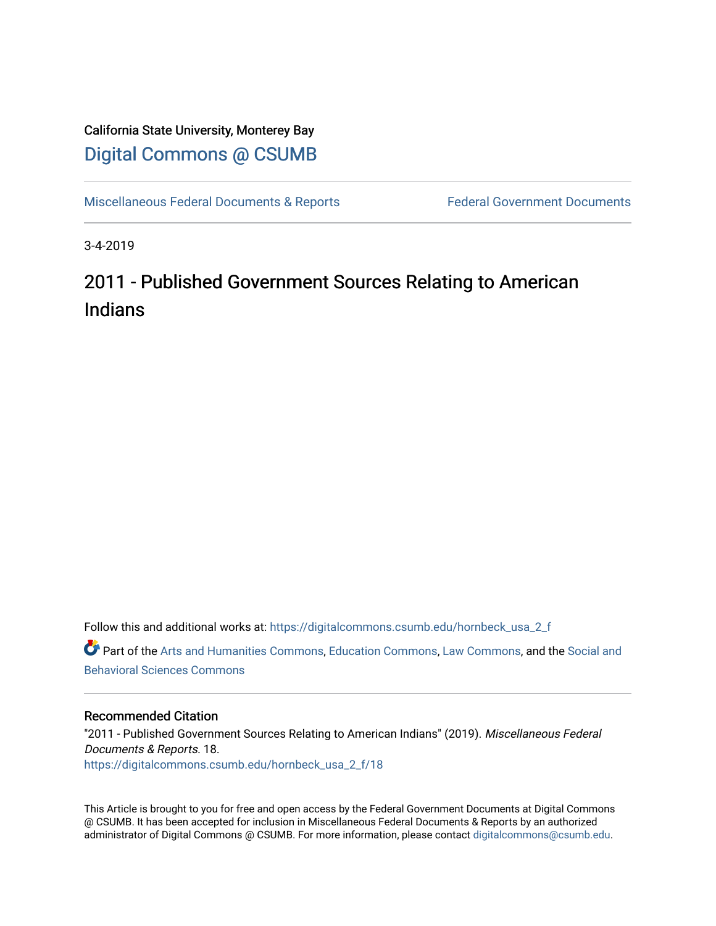## California State University, Monterey Bay [Digital Commons @ CSUMB](https://digitalcommons.csumb.edu/)

[Miscellaneous Federal Documents & Reports](https://digitalcommons.csumb.edu/hornbeck_usa_2_f) Federal Government Documents

3-4-2019

# 2011 - Published Government Sources Relating to American Indians

Follow this and additional works at: [https://digitalcommons.csumb.edu/hornbeck\\_usa\\_2\\_f](https://digitalcommons.csumb.edu/hornbeck_usa_2_f?utm_source=digitalcommons.csumb.edu%2Fhornbeck_usa_2_f%2F18&utm_medium=PDF&utm_campaign=PDFCoverPages)  Part of the [Arts and Humanities Commons,](http://network.bepress.com/hgg/discipline/438?utm_source=digitalcommons.csumb.edu%2Fhornbeck_usa_2_f%2F18&utm_medium=PDF&utm_campaign=PDFCoverPages) [Education Commons](http://network.bepress.com/hgg/discipline/784?utm_source=digitalcommons.csumb.edu%2Fhornbeck_usa_2_f%2F18&utm_medium=PDF&utm_campaign=PDFCoverPages), [Law Commons,](http://network.bepress.com/hgg/discipline/578?utm_source=digitalcommons.csumb.edu%2Fhornbeck_usa_2_f%2F18&utm_medium=PDF&utm_campaign=PDFCoverPages) and the [Social and](http://network.bepress.com/hgg/discipline/316?utm_source=digitalcommons.csumb.edu%2Fhornbeck_usa_2_f%2F18&utm_medium=PDF&utm_campaign=PDFCoverPages)  [Behavioral Sciences Commons](http://network.bepress.com/hgg/discipline/316?utm_source=digitalcommons.csumb.edu%2Fhornbeck_usa_2_f%2F18&utm_medium=PDF&utm_campaign=PDFCoverPages) 

#### Recommended Citation

"2011 - Published Government Sources Relating to American Indians" (2019). Miscellaneous Federal Documents & Reports. 18. [https://digitalcommons.csumb.edu/hornbeck\\_usa\\_2\\_f/18](https://digitalcommons.csumb.edu/hornbeck_usa_2_f/18?utm_source=digitalcommons.csumb.edu%2Fhornbeck_usa_2_f%2F18&utm_medium=PDF&utm_campaign=PDFCoverPages) 

This Article is brought to you for free and open access by the Federal Government Documents at Digital Commons @ CSUMB. It has been accepted for inclusion in Miscellaneous Federal Documents & Reports by an authorized administrator of Digital Commons @ CSUMB. For more information, please contact [digitalcommons@csumb.edu](mailto:digitalcommons@csumb.edu).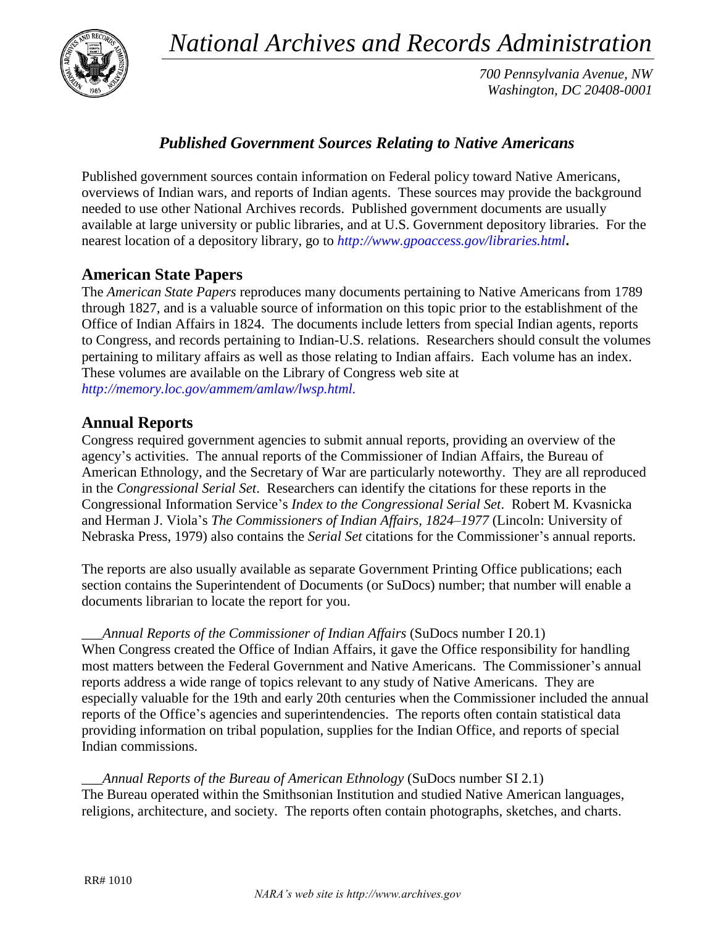*National Archives and Records Administration*



*700 Pennsylvania Avenue, NW Washington, DC 20408-0001*

### *Published Government Sources Relating to Native Americans*

Published government sources contain information on Federal policy toward Native Americans, overviews of Indian wars, and reports of Indian agents. These sources may provide the background needed to use other National Archives records. Published government documents are usually available at large university or public libraries, and at U.S. Government depository libraries. For the nearest location of a depository library, go to *<http://www.gpoaccess.gov/libraries.html>***.** 

#### **American State Papers**

The *American State Papers* reproduces many documents pertaining to Native Americans from 1789 through 1827, and is a valuable source of information on this topic prior to the establishment of the Office of Indian Affairs in 1824. The documents include letters from special Indian agents, reports to Congress, and records pertaining to Indian-U.S. relations. Researchers should consult the volumes pertaining to military affairs as well as those relating to Indian affairs. Each volume has an index. These volumes are available on the Library of Congress web site at *[http://memory.loc.gov/ammem/amlaw/lwsp.html.](http://memory.loc.gov/ammem/amlaw/lwsp.html)*

#### **Annual Reports**

Congress required government agencies to submit annual reports, providing an overview of the agency's activities. The annual reports of the Commissioner of Indian Affairs, the Bureau of American Ethnology, and the Secretary of War are particularly noteworthy. They are all reproduced in the *Congressional Serial Set*. Researchers can identify the citations for these reports in the Congressional Information Service's *Index to the Congressional Serial Set*. Robert M. Kvasnicka and Herman J. Viola's *The Commissioners of Indian Affairs, 1824–1977* (Lincoln: University of Nebraska Press, 1979) also contains the *Serial Set* citations for the Commissioner's annual reports.

The reports are also usually available as separate Government Printing Office publications; each section contains the Superintendent of Documents (or SuDocs) number; that number will enable a documents librarian to locate the report for you.

\_\_\_*Annual Reports of the Commissioner of Indian Affairs* (SuDocs number I 20.1) When Congress created the Office of Indian Affairs, it gave the Office responsibility for handling most matters between the Federal Government and Native Americans. The Commissioner's annual reports address a wide range of topics relevant to any study of Native Americans. They are especially valuable for the 19th and early 20th centuries when the Commissioner included the annual reports of the Office's agencies and superintendencies. The reports often contain statistical data providing information on tribal population, supplies for the Indian Office, and reports of special Indian commissions.

\_\_\_*Annual Reports of the Bureau of American Ethnology* (SuDocs number SI 2.1) The Bureau operated within the Smithsonian Institution and studied Native American languages, religions, architecture, and society. The reports often contain photographs, sketches, and charts.